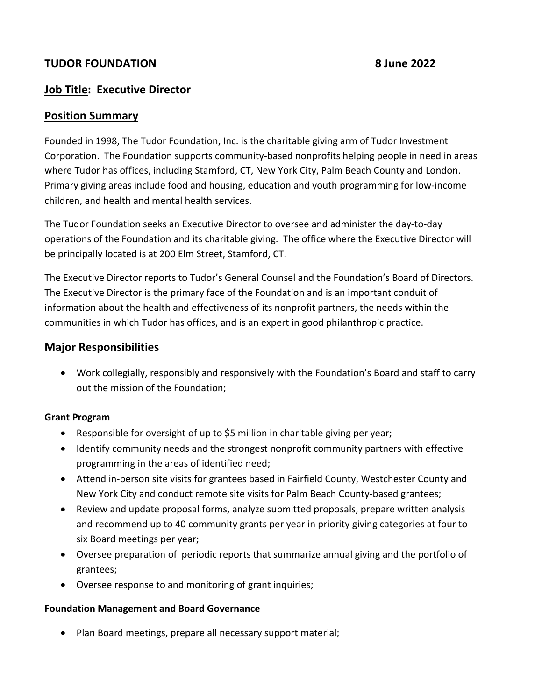# **TUDOR FOUNDATION 8 June 2022**

# **Job Title: Executive Director**

# **Position Summary**

Founded in 1998, The Tudor Foundation, Inc. is the charitable giving arm of Tudor Investment Corporation. The Foundation supports community-based nonprofits helping people in need in areas where Tudor has offices, including Stamford, CT, New York City, Palm Beach County and London. Primary giving areas include food and housing, education and youth programming for low-income children, and health and mental health services.

The Tudor Foundation seeks an Executive Director to oversee and administer the day-to-day operations of the Foundation and its charitable giving. The office where the Executive Director will be principally located is at 200 Elm Street, Stamford, CT.

The Executive Director reports to Tudor's General Counsel and the Foundation's Board of Directors. The Executive Director is the primary face of the Foundation and is an important conduit of information about the health and effectiveness of its nonprofit partners, the needs within the communities in which Tudor has offices, and is an expert in good philanthropic practice.

# **Major Responsibilities**

• Work collegially, responsibly and responsively with the Foundation's Board and staff to carry out the mission of the Foundation;

## **Grant Program**

- Responsible for oversight of up to \$5 million in charitable giving per year;
- Identify community needs and the strongest nonprofit community partners with effective programming in the areas of identified need;
- Attend in-person site visits for grantees based in Fairfield County, Westchester County and New York City and conduct remote site visits for Palm Beach County-based grantees;
- Review and update proposal forms, analyze submitted proposals, prepare written analysis and recommend up to 40 community grants per year in priority giving categories at four to six Board meetings per year;
- Oversee preparation of periodic reports that summarize annual giving and the portfolio of grantees;
- Oversee response to and monitoring of grant inquiries;

## **Foundation Management and Board Governance**

• Plan Board meetings, prepare all necessary support material;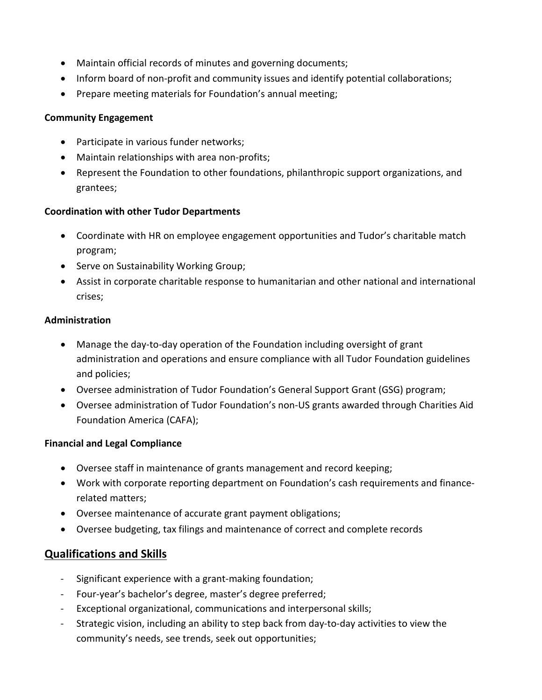- Maintain official records of minutes and governing documents;
- Inform board of non-profit and community issues and identify potential collaborations;
- Prepare meeting materials for Foundation's annual meeting;

#### **Community Engagement**

- Participate in various funder networks;
- Maintain relationships with area non-profits;
- Represent the Foundation to other foundations, philanthropic support organizations, and grantees;

## **Coordination with other Tudor Departments**

- Coordinate with HR on employee engagement opportunities and Tudor's charitable match program;
- Serve on Sustainability Working Group;
- Assist in corporate charitable response to humanitarian and other national and international crises;

## **Administration**

- Manage the day-to-day operation of the Foundation including oversight of grant administration and operations and ensure compliance with all Tudor Foundation guidelines and policies;
- Oversee administration of Tudor Foundation's General Support Grant (GSG) program;
- Oversee administration of Tudor Foundation's non-US grants awarded through Charities Aid Foundation America (CAFA);

## **Financial and Legal Compliance**

- Oversee staff in maintenance of grants management and record keeping;
- Work with corporate reporting department on Foundation's cash requirements and financerelated matters;
- Oversee maintenance of accurate grant payment obligations;
- Oversee budgeting, tax filings and maintenance of correct and complete records

# **Qualifications and Skills**

- Significant experience with a grant-making foundation;
- Four-year's bachelor's degree, master's degree preferred;
- Exceptional organizational, communications and interpersonal skills;
- Strategic vision, including an ability to step back from day-to-day activities to view the community's needs, see trends, seek out opportunities;